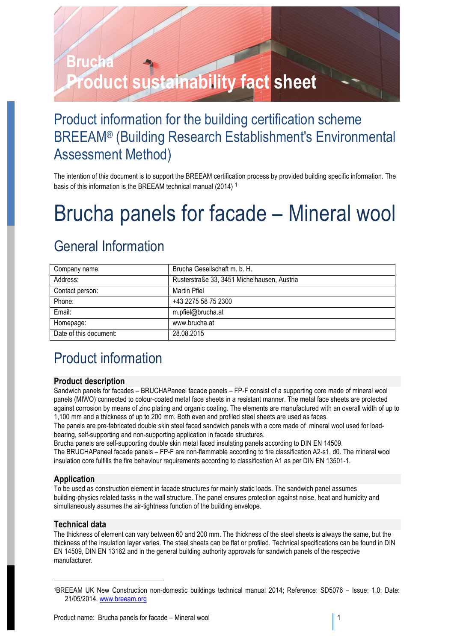

## Product information for the building certification scheme BREEAM® (Building Research Establishment's Environmental Assessment Method)

The intention of this document is to support the BREEAM certification process by provided building specific information. The basis of this information is the BREEAM technical manual (2014) <sup>1</sup>

# Brucha panels for facade – Mineral wool

## General Information

| Company name:          | Brucha Gesellschaft m. b. H.                |
|------------------------|---------------------------------------------|
| Address:               | Rusterstraße 33, 3451 Michelhausen, Austria |
| Contact person:        | Martin Pfiel                                |
| Phone:                 | +43 2275 58 75 2300                         |
| Email:                 | m.pfiel@brucha.at                           |
| Homepage:              | www.brucha.at                               |
| Date of this document: | 28.08.2015                                  |

## Product information

#### **Product description**

Sandwich panels for facades – BRUCHAPaneel facade panels – FP-F consist of a supporting core made of mineral wool panels (MIWO) connected to colour-coated metal face sheets in a resistant manner. The metal face sheets are protected against corrosion by means of zinc plating and organic coating. The elements are manufactured with an overall width of up to 1,100 mm and a thickness of up to 200 mm. Both even and profiled steel sheets are used as faces.

The panels are pre-fabricated double skin steel faced sandwich panels with a core made of mineral wool used for loadbearing, self-supporting and non-supporting application in facade structures.

Brucha panels are self-supporting double skin metal faced insulating panels according to DIN EN 14509. The BRUCHAPaneel facade panels – FP-F are non-flammable according to fire classification A2-s1, d0. The mineral wool insulation core fulfills the fire behaviour requirements according to classification A1 as per DIN EN 13501-1.

#### **Application**

To be used as construction element in facade structures for mainly static loads. The sandwich panel assumes building-physics related tasks in the wall structure. The panel ensures protection against noise, heat and humidity and simultaneously assumes the air-tightness function of the building envelope.

#### **Technical data**

1

The thickness of element can vary between 60 and 200 mm. The thickness of the steel sheets is always the same, but the thickness of the insulation layer varies. The steel sheets can be flat or profiled. Technical specifications can be found in DIN EN 14509, DIN EN 13162 and in the general building authority approvals for sandwich panels of the respective manufacturer.

<sup>1</sup>BREEAM UK New Construction non-domestic buildings technical manual 2014; Reference: SD5076 – Issue: 1.0; Date: 21/05/2014, www.breeam.org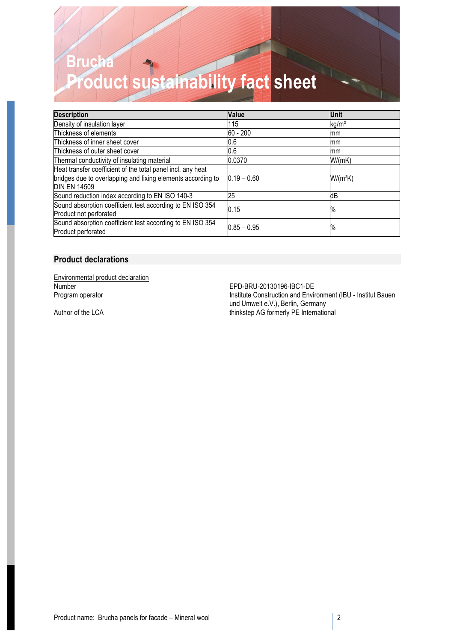## **Brucha Product sustainability fact sheet**

| <b>Description</b>                                                                                                                                | <b>Value</b>  | Unit              |
|---------------------------------------------------------------------------------------------------------------------------------------------------|---------------|-------------------|
| Density of insulation layer                                                                                                                       | 115           | kg/m <sup>3</sup> |
| Thickness of elements                                                                                                                             | 60 - 200      | mm                |
| Thickness of inner sheet cover                                                                                                                    | 0.6           | mm                |
| Thickness of outer sheet cover                                                                                                                    | 0.6           | mm                |
| Thermal conductivity of insulating material                                                                                                       | 0.0370        | W/(mK)            |
| Heat transfer coefficient of the total panel incl. any heat<br>bridges due to overlapping and fixing elements according to<br><b>DIN EN 14509</b> | $0.19 - 0.60$ | $W/(m^2K)$        |
| Sound reduction index according to EN ISO 140-3                                                                                                   | 25            | dВ                |
| Sound absorption coefficient test according to EN ISO 354<br>Product not perforated                                                               | 0.15          | %                 |
| Sound absorption coefficient test according to EN ISO 354<br>Product perforated                                                                   | $0.85 - 0.95$ | $\%$              |

#### **Product declarations**

Environmental product declaration Number EPD-BRU-20130196-IBC1-DE

Program operator **Institute Construction and Environment (IBU - Institut Bauen** und Umwelt e.V.), Berlin, Germany Author of the LCA thinkstep AG formerly PE International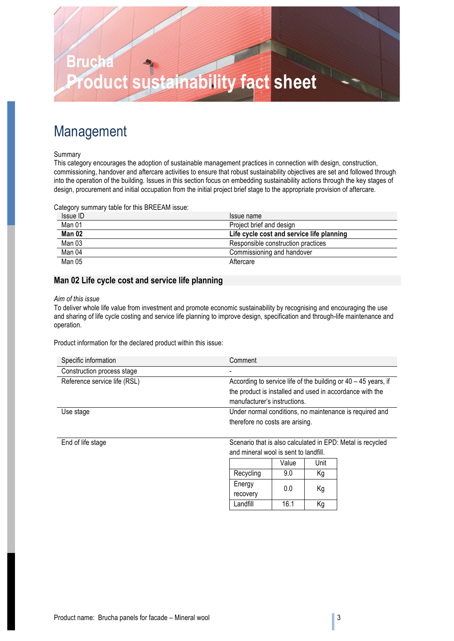

## Management

#### Summary

This category encourages the adoption of sustainable management practices in connection with design, construction, commissioning, handover and aftercare activities to ensure that robust sustainability objectives are set and followed through into the operation of the building. Issues in this section focus on embedding sustainability actions through the key stages of design, procurement and initial occupation from the initial project brief stage to the appropriate provision of aftercare.

Category summary table for this BREEAM issue:

| Issue ID | Issue name                                |
|----------|-------------------------------------------|
| Man 01   | Project brief and design                  |
| Man 02   | Life cycle cost and service life planning |
| Man 03   | Responsible construction practices        |
| Man 04   | Commissioning and handover                |
| Man 05   | Aftercare                                 |

#### **Man 02 Life cycle cost and service life planning**

#### *Aim of this issue*

To deliver whole life value from investment and promote economic sustainability by recognising and encouraging the use and sharing of life cycle costing and service life planning to improve design, specification and through-life maintenance and operation.

Product information for the declared product within this issue:

| Specific information         | Comment                                                          |
|------------------------------|------------------------------------------------------------------|
| Construction process stage   |                                                                  |
| Reference service life (RSL) | According to service life of the building or $40 - 45$ years, if |
|                              | the product is installed and used in accordance with the         |
|                              | manufacturer's instructions.                                     |
| Use stage                    | Under normal conditions, no maintenance is required and          |
|                              | therefore no costs are arising.                                  |

End of life stage Scenario that is also calculated in EPD: Metal is recycled and mineral wool is sent to landfill.

|                    | Value           | Unit |
|--------------------|-----------------|------|
| Recycling          | 9.0             | Κq   |
| Energy<br>recovery | 0.0             | Κg   |
| Landfill           | 16 <sub>1</sub> | Κg   |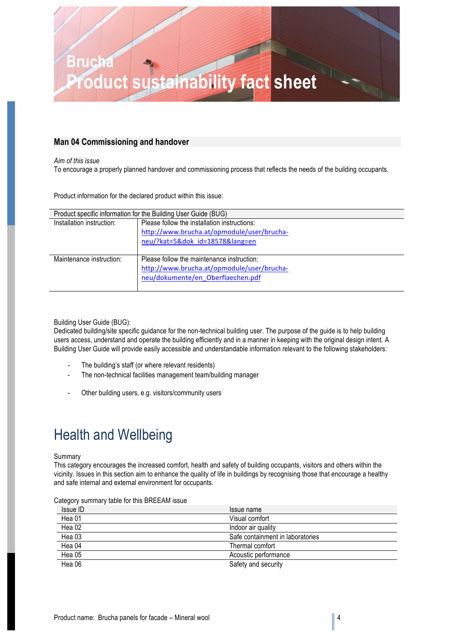

#### **Man 04 Commissioning and handover**

*Aim of this issue* To encourage a properly planned handover and commissioning process that reflects the needs of the building occupants.

Product information for the declared product within this issue:

| Product specific information for the Building User Guide (BUG) |                                              |
|----------------------------------------------------------------|----------------------------------------------|
| Installation instruction:                                      | Please follow the installation instructions: |
|                                                                | http://www.brucha.at/opmodule/user/brucha-   |
|                                                                | neu/?kat=5&dok id=18578⟨=en                  |
|                                                                |                                              |
| Maintenance instruction:                                       | Please follow the maintenance instruction:   |
|                                                                | http://www.brucha.at/opmodule/user/brucha-   |
|                                                                | neu/dokumente/en Oberflaechen.pdf            |
|                                                                |                                              |

#### Building User Guide (BUG):

Dedicated building/site specific guidance for the non-technical building user. The purpose of the guide is to help building users access, understand and operate the building efficiently and in a manner in keeping with the original design intent. A Building User Guide will provide easily accessible and understandable information relevant to the following stakeholders:

- The building's staff (or where relevant residents)
- The non-technical facilities management team/building manager
- Other building users, e.g. visitors/community users

## Health and Wellbeing

#### Summary

This category encourages the increased comfort, health and safety of building occupants, visitors and others within the vicinity. Issues in this section aim to enhance the quality of life in buildings by recognising those that encourage a healthy and safe internal and external environment for occupants.

| $\frac{1}{2}$ |                                  |
|---------------|----------------------------------|
| Issue ID      | Issue name                       |
| Hea 01        | Visual comfort                   |
| Hea 02        | Indoor air quality               |
| Hea 03        | Safe containment in laboratories |
| Hea 04        | Thermal comfort                  |
| Hea 05        | Acoustic performance             |
| Hea 06        | Safety and security              |
|               |                                  |

Category summary table for this BREEAM issue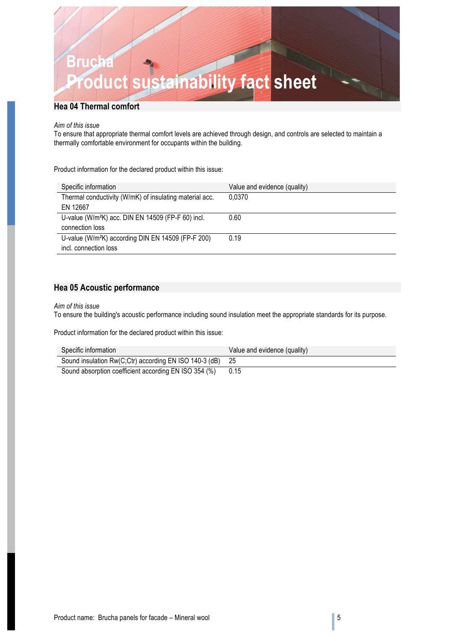# **Product sustainability fact sheet**

#### **Hea 04 Thermal comfort**

**Brucha** 

#### *Aim of this issue*

To ensure that appropriate thermal comfort levels are achieved through design, and controls are selected to maintain a thermally comfortable environment for occupants within the building.

Product information for the declared product within this issue:

| Specific information                                           | Value and evidence (quality) |
|----------------------------------------------------------------|------------------------------|
| Thermal conductivity (W/mK) of insulating material acc.        | 0.0370                       |
| EN 12667                                                       |                              |
| U-value (W/m <sup>2</sup> K) acc. DIN EN 14509 (FP-F 60) incl. | 0.60                         |
| connection loss                                                |                              |
| U-value (W/m <sup>2</sup> K) according DIN EN 14509 (FP-F 200) | 0.19                         |
| incl. connection loss                                          |                              |

#### **Hea 05 Acoustic performance**

*Aim of this issue*

To ensure the building's acoustic performance including sound insulation meet the appropriate standards for its purpose.

Product information for the declared product within this issue:

| Specific information                                      | Value and evidence (quality) |
|-----------------------------------------------------------|------------------------------|
| Sound insulation Rw(C;Ctr) according EN ISO 140-3 (dB) 25 |                              |
| Sound absorption coefficient according EN ISO 354 (%)     |                              |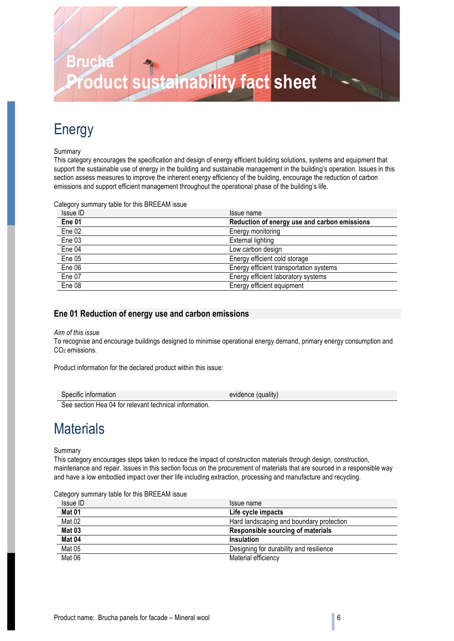

## Energy

#### Summary

This category encourages the specification and design of energy efficient building solutions, systems and equipment that support the sustainable use of energy in the building and sustainable management in the building's operation. Issues in this section assess measures to improve the inherent energy efficiency of the building, encourage the reduction of carbon emissions and support efficient management throughout the operational phase of the building's life.

Category summary table for this BREEAM issue

| Issue ID | Issue name                                   |
|----------|----------------------------------------------|
| Ene 01   | Reduction of energy use and carbon emissions |
| Ene 02   | Energy monitoring                            |
| Ene 03   | External lighting                            |
| Ene 04   | Low carbon design                            |
| Ene 05   | Energy efficient cold storage                |
| Ene 06   | Energy efficient transportation systems      |
| Ene 07   | Energy efficient laboratory systems          |
| Ene 08   | Energy efficient equipment                   |

#### **Ene 01 Reduction of energy use and carbon emissions**

#### *Aim of this issue*

To recognise and encourage buildings designed to minimise operational energy demand, primary energy consumption and CO<sub>2</sub> emissions.

Product information for the declared product within this issue:

| Specific information                                                                                        | evidence (quality) |
|-------------------------------------------------------------------------------------------------------------|--------------------|
| $\alpha$ , and $\alpha$ is the $\alpha$ is the set of the set of the set of $\alpha$ is the set of $\alpha$ |                    |

See section Hea 04 for relevant technical information.

## **Materials**

#### Summary

This category encourages steps taken to reduce the impact of construction materials through design, construction, maintenance and repair. Issues in this section focus on the procurement of materials that are sourced in a responsible way and have a low embodied impact over their life including extraction, processing and manufacture and recycling.

Category summary table for this BREEAM issue

| Issue ID | Issue name                               |
|----------|------------------------------------------|
| Mat 01   | Life cycle impacts                       |
| Mat 02   | Hard landscaping and boundary protection |
| Mat 03   | Responsible sourcing of materials        |
| Mat 04   | Insulation                               |
| Mat 05   | Designing for durability and resilience  |
| Mat 06   | Material efficiency                      |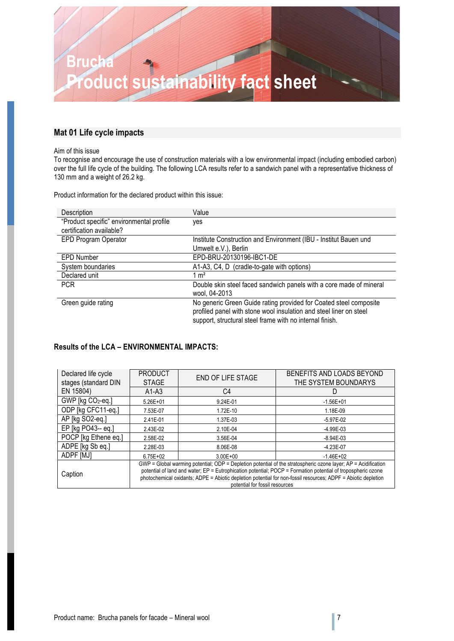

#### **Mat 01 Life cycle impacts**

#### Aim of this issue

To recognise and encourage the use of construction materials with a low environmental impact (including embodied carbon) over the full life cycle of the building. The following LCA results refer to a sandwich panel with a representative thickness of 130 mm and a weight of 26.2 kg.

Product information for the declared product within this issue:

| Description                              | Value                                                                                                                                                                                               |
|------------------------------------------|-----------------------------------------------------------------------------------------------------------------------------------------------------------------------------------------------------|
| "Product specific" environmental profile | yes                                                                                                                                                                                                 |
| certification available?                 |                                                                                                                                                                                                     |
| EPD Program Operator                     | Institute Construction and Environment (IBU - Institut Bauen und                                                                                                                                    |
|                                          | Umwelt e.V.), Berlin                                                                                                                                                                                |
| <b>EPD Number</b>                        | EPD-BRU-20130196-IBC1-DE                                                                                                                                                                            |
| System boundaries                        | A1-A3, C4, D (cradle-to-gate with options)                                                                                                                                                          |
| Declared unit                            | $1 \text{ m}^2$                                                                                                                                                                                     |
| <b>PCR</b>                               | Double skin steel faced sandwich panels with a core made of mineral<br>wool, 04-2013                                                                                                                |
| Green guide rating                       | No generic Green Guide rating provided for Coated steel composite<br>profiled panel with stone wool insulation and steel liner on steel<br>support, structural steel frame with no internal finish. |

#### **Results of the LCA – ENVIRONMENTAL IMPACTS:**

| Declared life cycle<br>stages (standard DIN | <b>PRODUCT</b><br><b>STAGE</b>                                                                                                                                                                                                                                                                                                                                                    | <b>END OF LIFE STAGE</b> | BENEFITS AND LOADS BEYOND<br>THE SYSTEM BOUNDARYS |
|---------------------------------------------|-----------------------------------------------------------------------------------------------------------------------------------------------------------------------------------------------------------------------------------------------------------------------------------------------------------------------------------------------------------------------------------|--------------------------|---------------------------------------------------|
| EN 15804)                                   | $A1-A3$                                                                                                                                                                                                                                                                                                                                                                           | C4                       | D                                                 |
| GWP [kg CO2-eq.]                            | $5.26E + 01$                                                                                                                                                                                                                                                                                                                                                                      | 9.24E-01                 | $-1.56E + 01$                                     |
| ODP [kg CFC11-eq.]                          | 7.53E-07                                                                                                                                                                                                                                                                                                                                                                          | 1.72E-10                 | 1.18E-09                                          |
| AP [kg SO2-eq.]                             | 2.41E-01                                                                                                                                                                                                                                                                                                                                                                          | 1.37E-03                 | $-5.97E-02$                                       |
| EP [kg PO43-- eq.]                          | 2.43E-02                                                                                                                                                                                                                                                                                                                                                                          | 2.10E-04                 | $-4.99E-03$                                       |
| POCP [kg Ethene eq.]                        | 2.58E-02                                                                                                                                                                                                                                                                                                                                                                          | 3.56E-04                 | $-8.94E-03$                                       |
| ADPE [kg Sb eq.]                            | 2.28E-03                                                                                                                                                                                                                                                                                                                                                                          | 8.06E-08                 | $-4.23E - 07$                                     |
| ADPF IMJI                                   | $6.75E + 02$                                                                                                                                                                                                                                                                                                                                                                      | $3.00E + 00$             | $-1.46E + 02$                                     |
| Caption                                     | GWP = Global warming potential; ODP = Depletion potential of the stratospheric ozone layer; AP = Acidification<br>potential of land and water; EP = Eutrophication potential; POCP = Formation potential of tropospheric ozone<br>photochemical oxidants; ADPE = Abiotic depletion potential for non-fossil resources; ADPF = Abiotic depletion<br>potential for fossil resources |                          |                                                   |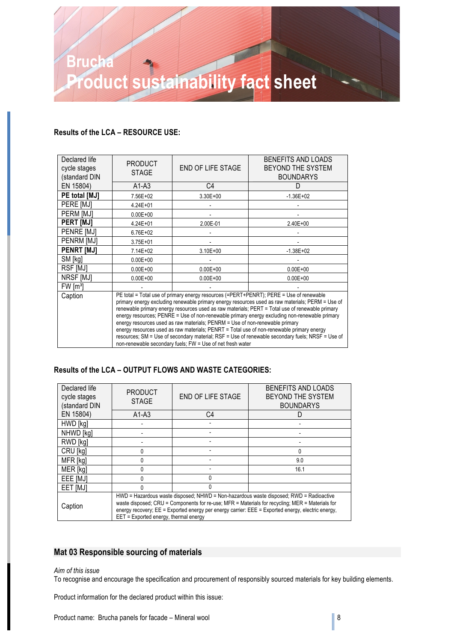

#### **Results of the LCA – RESOURCE USE:**

| Declared life<br>cycle stages<br>(standard DIN | <b>PRODUCT</b><br><b>STAGE</b>                                                                                                                                                                                                                                                                                                                                                                                                                                                                                                                                                                                                                                                                                                                 | <b>END OF LIFE STAGE</b> | BENEFITS AND LOADS<br>BEYOND THE SYSTEM<br><b>BOUNDARYS</b> |
|------------------------------------------------|------------------------------------------------------------------------------------------------------------------------------------------------------------------------------------------------------------------------------------------------------------------------------------------------------------------------------------------------------------------------------------------------------------------------------------------------------------------------------------------------------------------------------------------------------------------------------------------------------------------------------------------------------------------------------------------------------------------------------------------------|--------------------------|-------------------------------------------------------------|
| EN 15804)                                      | $A1-A3$                                                                                                                                                                                                                                                                                                                                                                                                                                                                                                                                                                                                                                                                                                                                        | C4                       | D                                                           |
| PE total [MJ]                                  | 7.56E+02                                                                                                                                                                                                                                                                                                                                                                                                                                                                                                                                                                                                                                                                                                                                       | $3.30E + 00$             | $-1.36E + 02$                                               |
| PERE [MJ]                                      | $4.24E + 01$                                                                                                                                                                                                                                                                                                                                                                                                                                                                                                                                                                                                                                                                                                                                   |                          |                                                             |
| PERM [MJ]                                      | $0.00E + 00$                                                                                                                                                                                                                                                                                                                                                                                                                                                                                                                                                                                                                                                                                                                                   |                          |                                                             |
| <b>PERT [MJ]</b>                               | $4.24E + 01$                                                                                                                                                                                                                                                                                                                                                                                                                                                                                                                                                                                                                                                                                                                                   | 2.00E-01                 | 2.40E+00                                                    |
| PENRE [MJ]                                     | 6.76E+02                                                                                                                                                                                                                                                                                                                                                                                                                                                                                                                                                                                                                                                                                                                                       |                          |                                                             |
| <b>PENRM IMJI</b>                              | 3.75E+01                                                                                                                                                                                                                                                                                                                                                                                                                                                                                                                                                                                                                                                                                                                                       |                          |                                                             |
| <b>PENRT [MJ]</b>                              | 7.14E+02                                                                                                                                                                                                                                                                                                                                                                                                                                                                                                                                                                                                                                                                                                                                       | $3.10E + 00$             | $-1.38E + 02$                                               |
| SM [kg]                                        | $0.00E + 00$                                                                                                                                                                                                                                                                                                                                                                                                                                                                                                                                                                                                                                                                                                                                   |                          |                                                             |
| RSF [MJ]                                       | $0.00E + 00$                                                                                                                                                                                                                                                                                                                                                                                                                                                                                                                                                                                                                                                                                                                                   | $0.00E + 00$             | $0.00E + 00$                                                |
| NRSF [MJ]                                      | $0.00E + 00$                                                                                                                                                                                                                                                                                                                                                                                                                                                                                                                                                                                                                                                                                                                                   | $0.00E + 00$             | $0.00E + 00$                                                |
| FW [m <sup>3</sup> ]                           |                                                                                                                                                                                                                                                                                                                                                                                                                                                                                                                                                                                                                                                                                                                                                |                          |                                                             |
| Caption                                        | PE total = Total use of primary energy resources (=PERT+PENRT); PERE = Use of renewable<br>primary energy excluding renewable primary energy resources used as raw materials; PERM = Use of<br>renewable primary energy resources used as raw materials; PERT = Total use of renewable primary<br>energy resources; PENRE = Use of non-renewable primary energy excluding non-renewable primary<br>energy resources used as raw materials; PENRM = Use of non-renewable primary<br>energy resources used as raw materials; PENRT = Total use of non-renewable primary energy<br>resources; SM = Use of secondary material; RSF = Use of renewable secondary fuels; NRSF = Use of<br>non-renewable secondary fuels; FW = Use of net fresh water |                          |                                                             |

#### **Results of the LCA – OUTPUT FLOWS AND WASTE CATEGORIES:**

| Declared life<br>cycle stages<br>(standard DIN | <b>PRODUCT</b><br><b>STAGE</b>                                                                                                                                                                                                                                                                                                          | END OF LIFE STAGE | BENEFITS AND LOADS<br><b>BEYOND THE SYSTEM</b><br><b>BOUNDARYS</b> |
|------------------------------------------------|-----------------------------------------------------------------------------------------------------------------------------------------------------------------------------------------------------------------------------------------------------------------------------------------------------------------------------------------|-------------------|--------------------------------------------------------------------|
| EN 15804)                                      | $A1-A3$                                                                                                                                                                                                                                                                                                                                 | C4                |                                                                    |
| HWD [kg]                                       |                                                                                                                                                                                                                                                                                                                                         |                   |                                                                    |
| NHWD [kg]                                      |                                                                                                                                                                                                                                                                                                                                         |                   |                                                                    |
| RWD [kg]                                       |                                                                                                                                                                                                                                                                                                                                         |                   |                                                                    |
| CRU [kg]                                       | 0                                                                                                                                                                                                                                                                                                                                       |                   | 0                                                                  |
| MFR [kg]                                       | 0                                                                                                                                                                                                                                                                                                                                       |                   | 9.0                                                                |
| MER [kg]                                       | 0                                                                                                                                                                                                                                                                                                                                       |                   | 16.1                                                               |
| EEE [MJ]                                       | U                                                                                                                                                                                                                                                                                                                                       | 0                 |                                                                    |
| EET [MJ]                                       | <sup>0</sup>                                                                                                                                                                                                                                                                                                                            | 0                 |                                                                    |
| Caption                                        | HWD = Hazardous waste disposed; NHWD = Non-hazardous waste disposed; RWD = Radioactive<br>waste disposed; CRU = Components for re-use; MFR = Materials for recycling; MER = Materials for<br>energy recovery; EE = Exported energy per energy carrier: EEE = Exported energy, electric energy,<br>EET = Exported energy, thermal energy |                   |                                                                    |

#### **Mat 03 Responsible sourcing of materials**

#### *Aim of this issue*

To recognise and encourage the specification and procurement of responsibly sourced materials for key building elements.

Product information for the declared product within this issue: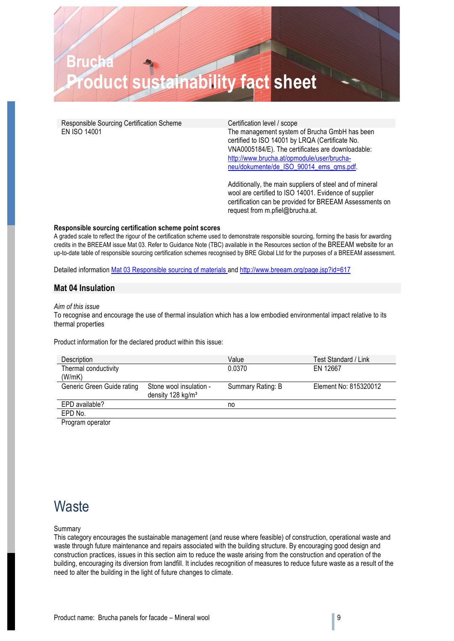

Responsible Sourcing Certification Scheme<br>
FN ISO 14001<br>
The management system

The management system of Brucha GmbH has been certified to ISO 14001 by LRQA (Certificate No. VNA0005184/E). The certificates are downloadable: http://www.brucha.at/opmodule/user/bruchaneu/dokumente/de\_ISO\_90014\_ems\_qms.pdf.

Additionally, the main suppliers of steel and of mineral wool are certified to ISO 14001. Evidence of supplier certification can be provided for BREEAM Assessments on request from m.pfiel@brucha.at.

#### **Responsible sourcing certification scheme point scores**

A graded scale to reflect the rigour of the certification scheme used to demonstrate responsible sourcing, forming the basis for awarding credits in the BREEAM issue Mat 03. Refer to Guidance Note (TBC) available in the Resources section of the BREEAM website for an up-to-date table of responsible sourcing certification schemes recognised by BRE Global Ltd for the purposes of a BREEAM assessment.

Detailed information Mat 03 Responsible sourcing of materials and http://www.breeam.org/page.jsp?id=617

#### **Mat 04 Insulation**

#### *Aim of this issue*

To recognise and encourage the use of thermal insulation which has a low embodied environmental impact relative to its thermal properties

Product information for the declared product within this issue:

| Description                |                               | Value             | Test Standard / Link  |
|----------------------------|-------------------------------|-------------------|-----------------------|
| Thermal conductivity       |                               | 0.0370            | EN 12667              |
| (W/mK)                     |                               |                   |                       |
| Generic Green Guide rating | Stone wool insulation -       | Summary Rating: B | Element No: 815320012 |
|                            | density 128 kg/m <sup>3</sup> |                   |                       |
| EPD available?             |                               | no                |                       |
| EPD No.                    |                               |                   |                       |
| Program operator           |                               |                   |                       |

Program operator

### **Waste**

#### Summary

This category encourages the sustainable management (and reuse where feasible) of construction, operational waste and waste through future maintenance and repairs associated with the building structure. By encouraging good design and construction practices, issues in this section aim to reduce the waste arising from the construction and operation of the building, encouraging its diversion from landfill. It includes recognition of measures to reduce future waste as a result of the need to alter the building in the light of future changes to climate.